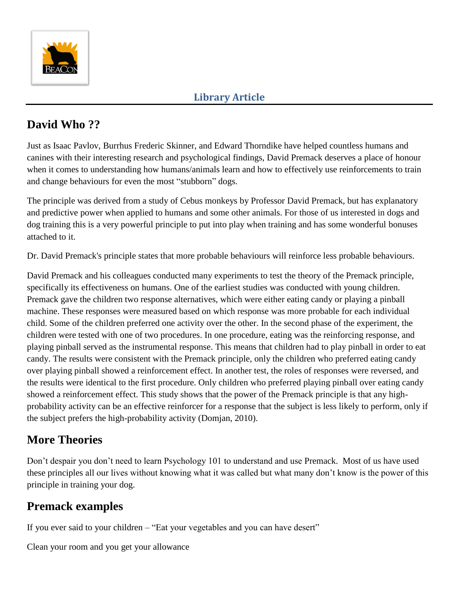

## **David Who ??**

Just as Isaac Pavlov, Burrhus Frederic Skinner, and Edward Thorndike have helped countless humans and canines with their interesting research and psychological findings, David Premack deserves a place of honour when it comes to understanding how humans/animals learn and how to effectively use reinforcements to train and change behaviours for even the most "stubborn" dogs.

The principle was derived from a study of Cebus monkeys by Professor David Premack, but has explanatory and predictive power when applied to humans and some other animals. For those of us interested in dogs and dog training this is a very powerful principle to put into play when training and has some wonderful bonuses attached to it.

Dr. David Premack's principle states that more probable behaviours will reinforce less probable behaviours.

David Premack and his colleagues conducted many experiments to test the theory of the Premack principle, specifically its effectiveness on humans. One of the earliest studies was conducted with young children. Premack gave the children two response alternatives, which were either eating candy or playing a pinball machine. These responses were measured based on which response was more probable for each individual child. Some of the children preferred one activity over the other. In the second phase of the experiment, the children were tested with one of two procedures. In one procedure, eating was the reinforcing response, and playing pinball served as the instrumental response. This means that children had to play pinball in order to eat candy. The results were consistent with the Premack principle, only the children who preferred eating candy over playing pinball showed a reinforcement effect. In another test, the roles of responses were reversed, and the results were identical to the first procedure. Only children who preferred playing pinball over eating candy showed a reinforcement effect. This study shows that the power of the Premack principle is that any highprobability activity can be an effective reinforcer for a response that the subject is less likely to perform, only if the subject prefers the high-probability activity (Domjan, 2010).

## **More Theories**

Don't despair you don't need to learn Psychology 101 to understand and use Premack. Most of us have used these principles all our lives without knowing what it was called but what many don't know is the power of this principle in training your dog.

## **Premack examples**

If you ever said to your children – "Eat your vegetables and you can have desert"

Clean your room and you get your allowance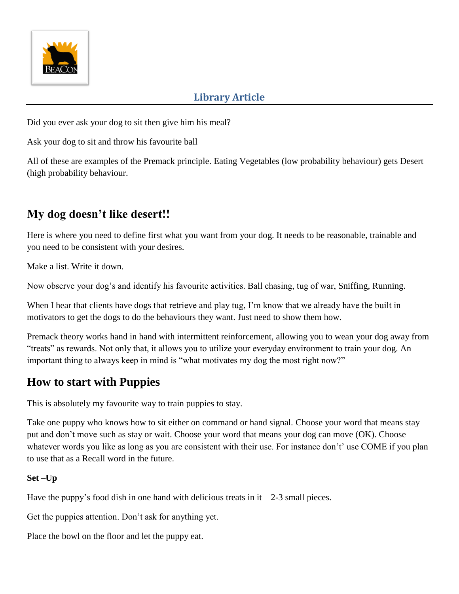

Did you ever ask your dog to sit then give him his meal?

Ask your dog to sit and throw his favourite ball

All of these are examples of the Premack principle. Eating Vegetables (low probability behaviour) gets Desert (high probability behaviour.

## **My dog doesn't like desert!!**

Here is where you need to define first what you want from your dog. It needs to be reasonable, trainable and you need to be consistent with your desires.

Make a list. Write it down.

Now observe your dog's and identify his favourite activities. Ball chasing, tug of war, Sniffing, Running.

When I hear that clients have dogs that retrieve and play tug, I'm know that we already have the built in motivators to get the dogs to do the behaviours they want. Just need to show them how.

Premack theory works hand in hand with intermittent reinforcement, allowing you to wean your dog away from "treats" as rewards. Not only that, it allows you to utilize your everyday environment to train your dog. An important thing to always keep in mind is "what motivates my dog the most right now?"

### **How to start with Puppies**

This is absolutely my favourite way to train puppies to stay.

Take one puppy who knows how to sit either on command or hand signal. Choose your word that means stay put and don't move such as stay or wait. Choose your word that means your dog can move (OK). Choose whatever words you like as long as you are consistent with their use. For instance don't' use COME if you plan to use that as a Recall word in the future.

#### **Set –Up**

Have the puppy's food dish in one hand with delicious treats in  $it - 2-3$  small pieces.

Get the puppies attention. Don't ask for anything yet.

Place the bowl on the floor and let the puppy eat.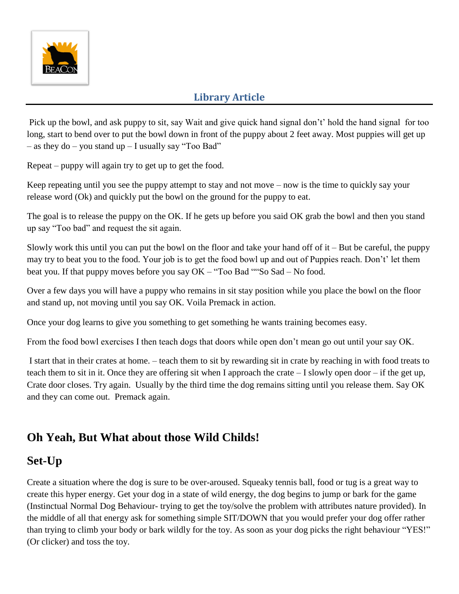

Pick up the bowl, and ask puppy to sit, say Wait and give quick hand signal don't' hold the hand signal for too long, start to bend over to put the bowl down in front of the puppy about 2 feet away. Most puppies will get up – as they  $do - you$  stand  $up - I$  usually say "Too Bad"

Repeat – puppy will again try to get up to get the food.

Keep repeating until you see the puppy attempt to stay and not move – now is the time to quickly say your release word (Ok) and quickly put the bowl on the ground for the puppy to eat.

The goal is to release the puppy on the OK. If he gets up before you said OK grab the bowl and then you stand up say "Too bad" and request the sit again.

Slowly work this until you can put the bowl on the floor and take your hand off of  $it - But$  be careful, the puppy may try to beat you to the food. Your job is to get the food bowl up and out of Puppies reach. Don't' let them beat you. If that puppy moves before you say OK – "Too Bad ""So Sad – No food.

Over a few days you will have a puppy who remains in sit stay position while you place the bowl on the floor and stand up, not moving until you say OK. Voila Premack in action.

Once your dog learns to give you something to get something he wants training becomes easy.

From the food bowl exercises I then teach dogs that doors while open don't mean go out until your say OK.

I start that in their crates at home. – teach them to sit by rewarding sit in crate by reaching in with food treats to teach them to sit in it. Once they are offering sit when I approach the crate – I slowly open door – if the get up, Crate door closes. Try again. Usually by the third time the dog remains sitting until you release them. Say OK and they can come out. Premack again.

## **Oh Yeah, But What about those Wild Childs!**

### **Set-Up**

Create a situation where the dog is sure to be over-aroused. Squeaky tennis ball, food or tug is a great way to create this hyper energy. Get your dog in a state of wild energy, the dog begins to jump or bark for the game (Instinctual Normal Dog Behaviour- trying to get the toy/solve the problem with attributes nature provided). In the middle of all that energy ask for something simple SIT/DOWN that you would prefer your dog offer rather than trying to climb your body or bark wildly for the toy. As soon as your dog picks the right behaviour "YES!" (Or clicker) and toss the toy.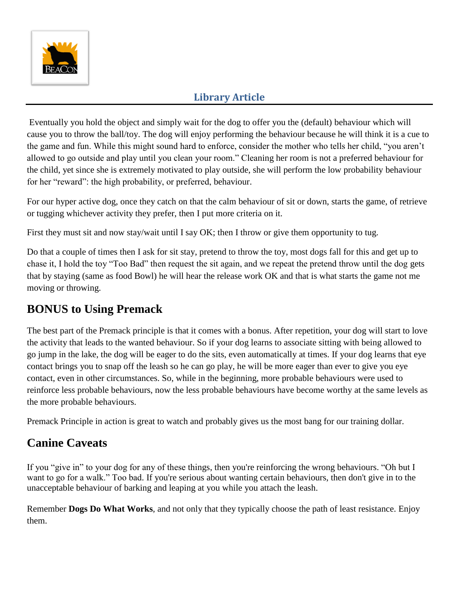

Eventually you hold the object and simply wait for the dog to offer you the (default) behaviour which will cause you to throw the ball/toy. The dog will enjoy performing the behaviour because he will think it is a cue to the game and fun. While this might sound hard to enforce, consider the mother who tells her child, "you aren't allowed to go outside and play until you clean your room." Cleaning her room is not a preferred behaviour for the child, yet since she is extremely motivated to play outside, she will perform the low probability behaviour for her "reward": the high probability, or preferred, behaviour.

For our hyper active dog, once they catch on that the calm behaviour of sit or down, starts the game, of retrieve or tugging whichever activity they prefer, then I put more criteria on it.

First they must sit and now stay/wait until I say OK; then I throw or give them opportunity to tug.

Do that a couple of times then I ask for sit stay, pretend to throw the toy, most dogs fall for this and get up to chase it, I hold the toy "Too Bad" then request the sit again, and we repeat the pretend throw until the dog gets that by staying (same as food Bowl) he will hear the release work OK and that is what starts the game not me moving or throwing.

## **BONUS to Using Premack**

The best part of the Premack principle is that it comes with a bonus. After repetition, your dog will start to love the activity that leads to the wanted behaviour. So if your dog learns to associate sitting with being allowed to go jump in the lake, the dog will be eager to do the sits, even automatically at times. If your dog learns that eye contact brings you to snap off the leash so he can go play, he will be more eager than ever to give you eye contact, even in other circumstances. So, while in the beginning, more probable behaviours were used to reinforce less probable behaviours, now the less probable behaviours have become worthy at the same levels as the more probable behaviours.

Premack Principle in action is great to watch and probably gives us the most bang for our training dollar.

## **Canine Caveats**

If you "give in" to your dog for any of these things, then you're reinforcing the wrong behaviours. "Oh but I want to go for a walk." Too bad. If you're serious about wanting certain behaviours, then don't give in to the unacceptable behaviour of barking and leaping at you while you attach the leash.

Remember **Dogs Do What Works**, and not only that they typically choose the path of least resistance. Enjoy them.